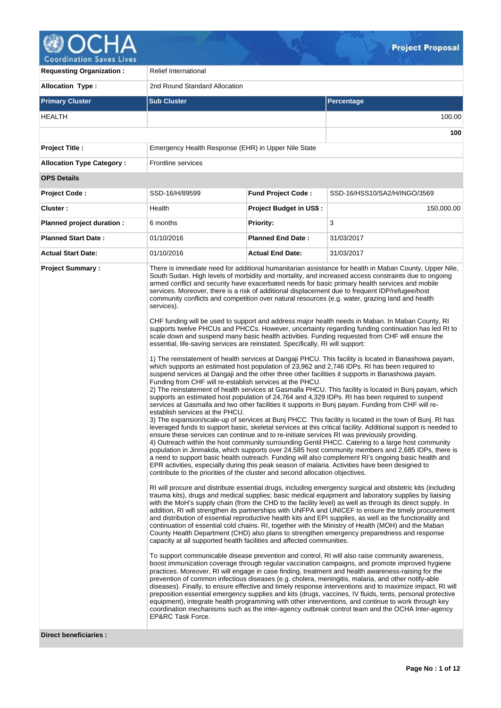

| <b>Requesting Organization:</b>  | <b>Relief International</b>                                                                                                                                                                                                                                                                                                                                                                                                                                               |                                |                                                                                                                                                                                                                                                                                                                                                                                                                                                                                                                                                                                                                                                                                                                                                                                                                                                                                                                                                                                                                                                                                                                                                                                                                                                                                                                                                                                                                                                                                                                                                                                                                                                                                                                                                                                                                                                                                                                                                                                                                                                                                                                                                                                                                                                                                                                                                                                                                                                                                                                                                                                                                                                                                                                                                                                                                                                                                                                                                                                                                                                                                                                                                                                                                                                                                                                                                                                                                                                                                                                                                                                                                                                                                                                                                  |  |  |  |  |  |
|----------------------------------|---------------------------------------------------------------------------------------------------------------------------------------------------------------------------------------------------------------------------------------------------------------------------------------------------------------------------------------------------------------------------------------------------------------------------------------------------------------------------|--------------------------------|--------------------------------------------------------------------------------------------------------------------------------------------------------------------------------------------------------------------------------------------------------------------------------------------------------------------------------------------------------------------------------------------------------------------------------------------------------------------------------------------------------------------------------------------------------------------------------------------------------------------------------------------------------------------------------------------------------------------------------------------------------------------------------------------------------------------------------------------------------------------------------------------------------------------------------------------------------------------------------------------------------------------------------------------------------------------------------------------------------------------------------------------------------------------------------------------------------------------------------------------------------------------------------------------------------------------------------------------------------------------------------------------------------------------------------------------------------------------------------------------------------------------------------------------------------------------------------------------------------------------------------------------------------------------------------------------------------------------------------------------------------------------------------------------------------------------------------------------------------------------------------------------------------------------------------------------------------------------------------------------------------------------------------------------------------------------------------------------------------------------------------------------------------------------------------------------------------------------------------------------------------------------------------------------------------------------------------------------------------------------------------------------------------------------------------------------------------------------------------------------------------------------------------------------------------------------------------------------------------------------------------------------------------------------------------------------------------------------------------------------------------------------------------------------------------------------------------------------------------------------------------------------------------------------------------------------------------------------------------------------------------------------------------------------------------------------------------------------------------------------------------------------------------------------------------------------------------------------------------------------------------------------------------------------------------------------------------------------------------------------------------------------------------------------------------------------------------------------------------------------------------------------------------------------------------------------------------------------------------------------------------------------------------------------------------------------------------------------------------------------------|--|--|--|--|--|
| <b>Allocation Type:</b>          | 2nd Round Standard Allocation                                                                                                                                                                                                                                                                                                                                                                                                                                             |                                |                                                                                                                                                                                                                                                                                                                                                                                                                                                                                                                                                                                                                                                                                                                                                                                                                                                                                                                                                                                                                                                                                                                                                                                                                                                                                                                                                                                                                                                                                                                                                                                                                                                                                                                                                                                                                                                                                                                                                                                                                                                                                                                                                                                                                                                                                                                                                                                                                                                                                                                                                                                                                                                                                                                                                                                                                                                                                                                                                                                                                                                                                                                                                                                                                                                                                                                                                                                                                                                                                                                                                                                                                                                                                                                                                  |  |  |  |  |  |
| <b>Primary Cluster</b>           | <b>Sub Cluster</b>                                                                                                                                                                                                                                                                                                                                                                                                                                                        |                                | <b>Percentage</b>                                                                                                                                                                                                                                                                                                                                                                                                                                                                                                                                                                                                                                                                                                                                                                                                                                                                                                                                                                                                                                                                                                                                                                                                                                                                                                                                                                                                                                                                                                                                                                                                                                                                                                                                                                                                                                                                                                                                                                                                                                                                                                                                                                                                                                                                                                                                                                                                                                                                                                                                                                                                                                                                                                                                                                                                                                                                                                                                                                                                                                                                                                                                                                                                                                                                                                                                                                                                                                                                                                                                                                                                                                                                                                                                |  |  |  |  |  |
| <b>HEALTH</b>                    |                                                                                                                                                                                                                                                                                                                                                                                                                                                                           |                                | 100.00                                                                                                                                                                                                                                                                                                                                                                                                                                                                                                                                                                                                                                                                                                                                                                                                                                                                                                                                                                                                                                                                                                                                                                                                                                                                                                                                                                                                                                                                                                                                                                                                                                                                                                                                                                                                                                                                                                                                                                                                                                                                                                                                                                                                                                                                                                                                                                                                                                                                                                                                                                                                                                                                                                                                                                                                                                                                                                                                                                                                                                                                                                                                                                                                                                                                                                                                                                                                                                                                                                                                                                                                                                                                                                                                           |  |  |  |  |  |
|                                  |                                                                                                                                                                                                                                                                                                                                                                                                                                                                           |                                | 100                                                                                                                                                                                                                                                                                                                                                                                                                                                                                                                                                                                                                                                                                                                                                                                                                                                                                                                                                                                                                                                                                                                                                                                                                                                                                                                                                                                                                                                                                                                                                                                                                                                                                                                                                                                                                                                                                                                                                                                                                                                                                                                                                                                                                                                                                                                                                                                                                                                                                                                                                                                                                                                                                                                                                                                                                                                                                                                                                                                                                                                                                                                                                                                                                                                                                                                                                                                                                                                                                                                                                                                                                                                                                                                                              |  |  |  |  |  |
| <b>Project Title:</b>            | Emergency Health Response (EHR) in Upper Nile State                                                                                                                                                                                                                                                                                                                                                                                                                       |                                |                                                                                                                                                                                                                                                                                                                                                                                                                                                                                                                                                                                                                                                                                                                                                                                                                                                                                                                                                                                                                                                                                                                                                                                                                                                                                                                                                                                                                                                                                                                                                                                                                                                                                                                                                                                                                                                                                                                                                                                                                                                                                                                                                                                                                                                                                                                                                                                                                                                                                                                                                                                                                                                                                                                                                                                                                                                                                                                                                                                                                                                                                                                                                                                                                                                                                                                                                                                                                                                                                                                                                                                                                                                                                                                                                  |  |  |  |  |  |
| <b>Allocation Type Category:</b> | <b>Frontline services</b>                                                                                                                                                                                                                                                                                                                                                                                                                                                 |                                |                                                                                                                                                                                                                                                                                                                                                                                                                                                                                                                                                                                                                                                                                                                                                                                                                                                                                                                                                                                                                                                                                                                                                                                                                                                                                                                                                                                                                                                                                                                                                                                                                                                                                                                                                                                                                                                                                                                                                                                                                                                                                                                                                                                                                                                                                                                                                                                                                                                                                                                                                                                                                                                                                                                                                                                                                                                                                                                                                                                                                                                                                                                                                                                                                                                                                                                                                                                                                                                                                                                                                                                                                                                                                                                                                  |  |  |  |  |  |
| <b>OPS Details</b>               |                                                                                                                                                                                                                                                                                                                                                                                                                                                                           |                                |                                                                                                                                                                                                                                                                                                                                                                                                                                                                                                                                                                                                                                                                                                                                                                                                                                                                                                                                                                                                                                                                                                                                                                                                                                                                                                                                                                                                                                                                                                                                                                                                                                                                                                                                                                                                                                                                                                                                                                                                                                                                                                                                                                                                                                                                                                                                                                                                                                                                                                                                                                                                                                                                                                                                                                                                                                                                                                                                                                                                                                                                                                                                                                                                                                                                                                                                                                                                                                                                                                                                                                                                                                                                                                                                                  |  |  |  |  |  |
| Project Code:                    | SSD-16/H/89599                                                                                                                                                                                                                                                                                                                                                                                                                                                            | <b>Fund Project Code:</b>      | SSD-16/HSS10/SA2/H/INGO/3569                                                                                                                                                                                                                                                                                                                                                                                                                                                                                                                                                                                                                                                                                                                                                                                                                                                                                                                                                                                                                                                                                                                                                                                                                                                                                                                                                                                                                                                                                                                                                                                                                                                                                                                                                                                                                                                                                                                                                                                                                                                                                                                                                                                                                                                                                                                                                                                                                                                                                                                                                                                                                                                                                                                                                                                                                                                                                                                                                                                                                                                                                                                                                                                                                                                                                                                                                                                                                                                                                                                                                                                                                                                                                                                     |  |  |  |  |  |
| <b>Cluster:</b>                  | Health                                                                                                                                                                                                                                                                                                                                                                                                                                                                    | <b>Project Budget in US\$:</b> | 150,000.00                                                                                                                                                                                                                                                                                                                                                                                                                                                                                                                                                                                                                                                                                                                                                                                                                                                                                                                                                                                                                                                                                                                                                                                                                                                                                                                                                                                                                                                                                                                                                                                                                                                                                                                                                                                                                                                                                                                                                                                                                                                                                                                                                                                                                                                                                                                                                                                                                                                                                                                                                                                                                                                                                                                                                                                                                                                                                                                                                                                                                                                                                                                                                                                                                                                                                                                                                                                                                                                                                                                                                                                                                                                                                                                                       |  |  |  |  |  |
| Planned project duration :       | 6 months                                                                                                                                                                                                                                                                                                                                                                                                                                                                  | <b>Priority:</b>               | 3                                                                                                                                                                                                                                                                                                                                                                                                                                                                                                                                                                                                                                                                                                                                                                                                                                                                                                                                                                                                                                                                                                                                                                                                                                                                                                                                                                                                                                                                                                                                                                                                                                                                                                                                                                                                                                                                                                                                                                                                                                                                                                                                                                                                                                                                                                                                                                                                                                                                                                                                                                                                                                                                                                                                                                                                                                                                                                                                                                                                                                                                                                                                                                                                                                                                                                                                                                                                                                                                                                                                                                                                                                                                                                                                                |  |  |  |  |  |
| <b>Planned Start Date:</b>       | 01/10/2016                                                                                                                                                                                                                                                                                                                                                                                                                                                                | <b>Planned End Date:</b>       | 31/03/2017                                                                                                                                                                                                                                                                                                                                                                                                                                                                                                                                                                                                                                                                                                                                                                                                                                                                                                                                                                                                                                                                                                                                                                                                                                                                                                                                                                                                                                                                                                                                                                                                                                                                                                                                                                                                                                                                                                                                                                                                                                                                                                                                                                                                                                                                                                                                                                                                                                                                                                                                                                                                                                                                                                                                                                                                                                                                                                                                                                                                                                                                                                                                                                                                                                                                                                                                                                                                                                                                                                                                                                                                                                                                                                                                       |  |  |  |  |  |
| <b>Actual Start Date:</b>        | 01/10/2016                                                                                                                                                                                                                                                                                                                                                                                                                                                                | <b>Actual End Date:</b>        | 31/03/2017                                                                                                                                                                                                                                                                                                                                                                                                                                                                                                                                                                                                                                                                                                                                                                                                                                                                                                                                                                                                                                                                                                                                                                                                                                                                                                                                                                                                                                                                                                                                                                                                                                                                                                                                                                                                                                                                                                                                                                                                                                                                                                                                                                                                                                                                                                                                                                                                                                                                                                                                                                                                                                                                                                                                                                                                                                                                                                                                                                                                                                                                                                                                                                                                                                                                                                                                                                                                                                                                                                                                                                                                                                                                                                                                       |  |  |  |  |  |
| <b>Project Summary:</b>          | services).<br>essential, life-saving services are reinstated. Specifically, RI will support:<br>Funding from CHF will re-establish services at the PHCU.<br>establish services at the PHCU.<br>ensure these services can continue and to re-initiate services RI was previously providing.<br>contribute to the priorities of the cluster and second allocation objectives.<br>capacity at all supported health facilities and affected communities.<br>EP&RC Task Force. |                                | There is immediate need for additional humanitarian assistance for health in Maban County, Upper Nile,<br>South Sudan. High levels of morbidity and mortality, and increased access constraints due to ongoing<br>armed conflict and security have exacerbated needs for basic primary health services and mobile<br>services. Moreover, there is a risk of additional displacement due to frequent IDP/refugee/host<br>community conflicts and competition over natural resources (e.g. water, grazing land and health<br>CHF funding will be used to support and address major health needs in Maban. In Maban County, RI<br>supports twelve PHCUs and PHCCs. However, uncertainty regarding funding continuation has led RI to<br>scale down and suspend many basic health activities. Funding requested from CHF will ensure the<br>1) The reinstatement of health services at Dangaji PHCU. This facility is located in Banashowa payam,<br>which supports an estimated host population of 23,962 and 2,746 IDPs. RI has been required to<br>suspend services at Dangaji and the other three other facilities it supports in Banashowa payam.<br>2) The reinstatement of health services at Gasmalla PHCU. This facility is located in Bunj payam, which<br>supports an estimated host population of 24,764 and 4,329 IDPs. RI has been required to suspend<br>services at Gasmalla and two other facilities it supports in Bunj payam. Funding from CHF will re-<br>3) The expansion/scale-up of services at Bunj PHCC. This facility is located in the town of Bunj. RI has<br>leveraged funds to support basic, skeletal services at this critical facility. Additional support is needed to<br>4) Outreach within the host community surrounding Gentil PHCC. Catering to a large host community<br>population in Jinmakda, which supports over 24,585 host community members and 2,685 IDPs, there is<br>a need to support basic health outreach. Funding will also complement RI's ongoing basic health and<br>EPR activities, especially during this peak season of malaria. Activities have been designed to<br>RI will procure and distribute essential drugs, including emergency surgical and obstetric kits (including<br>trauma kits), drugs and medical supplies; basic medical equipment and laboratory supplies by liaising<br>with the MoH's supply chain (from the CHD to the facility level) as well as through its direct supply. In<br>addition, RI will strengthen its partnerships with UNFPA and UNICEF to ensure the timely procurement<br>and distribution of essential reproductive health kits and EPI supplies, as well as the functionality and<br>continuation of essential cold chains. RI, together with the Ministry of Health (MOH) and the Maban<br>County Health Department (CHD) also plans to strengthen emergency preparedness and response<br>To support communicable disease prevention and control, RI will also raise community awareness,<br>boost immunization coverage through regular vaccination campaigns, and promote improved hygiene<br>practices. Moreover, RI will engage in case finding, treatment and health awareness-raising for the<br>prevention of common infectious diseases (e.g. cholera, meningitis, malaria, and other notify-able<br>diseases). Finally, to ensure effective and timely response interventions and to maximize impact, RI will<br>preposition essential emergency supplies and kits (drugs, vaccines, IV fluids, tents, personal protective<br>equipment), integrate health programming with other interventions, and continue to work through key<br>coordination mechanisms such as the inter-agency outbreak control team and the OCHA Inter-agency |  |  |  |  |  |

**Direct beneficiaries :**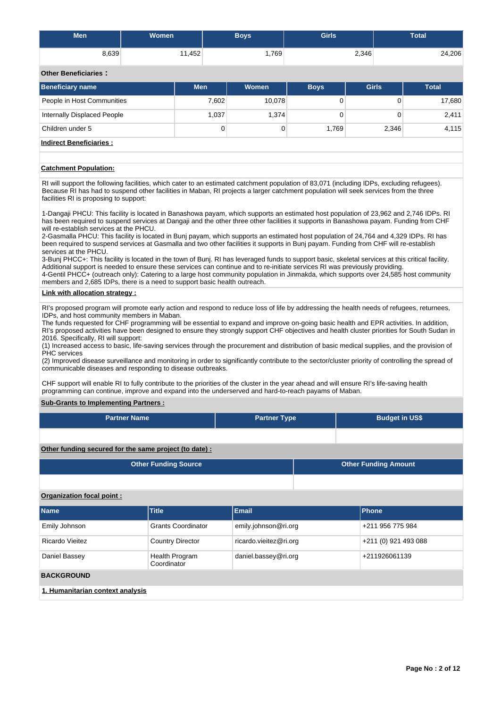| Men   | Women  | <b>Boys</b> | <b>Girls</b> | <b>Total</b> |
|-------|--------|-------------|--------------|--------------|
| 8,639 | 11,452 | ∛769,       | 2,346        | 24,206       |

**Other Beneficiaries :**

| <b>Beneficiary name</b>        | <b>Men</b> | Women  | <b>Boys</b> | <b>Girls</b> | <b>Total</b> |  |  |  |  |  |
|--------------------------------|------------|--------|-------------|--------------|--------------|--|--|--|--|--|
| People in Host Communities     | 7,602      | 10,078 |             | 0            | 17,680       |  |  |  |  |  |
| Internally Displaced People    | 1,037      | 1,374  |             |              | 2,411        |  |  |  |  |  |
| Children under 5               | 0          |        | 1.769       | 2,346        | 4,115        |  |  |  |  |  |
| <b>Indirect Beneficiaries:</b> |            |        |             |              |              |  |  |  |  |  |

# **Catchment Population:**

RI will support the following facilities, which cater to an estimated catchment population of 83,071 (including IDPs, excluding refugees). Because RI has had to suspend other facilities in Maban, RI projects a larger catchment population will seek services from the three facilities RI is proposing to support:

1-Dangaji PHCU: This facility is located in Banashowa payam, which supports an estimated host population of 23,962 and 2,746 IDPs. RI has been required to suspend services at Dangaji and the other three other facilities it supports in Banashowa payam. Funding from CHF will re-establish services at the PHCU.

2-Gasmalla PHCU: This facility is located in Bunj payam, which supports an estimated host population of 24,764 and 4,329 IDPs. RI has been required to suspend services at Gasmalla and two other facilities it supports in Bunj payam. Funding from CHF will re-establish services at the PHCU.

3-Bunj PHCC+: This facility is located in the town of Bunj. RI has leveraged funds to support basic, skeletal services at this critical facility. Additional support is needed to ensure these services can continue and to re-initiate services RI was previously providing.

4-Gentil PHCC+ (outreach only): Catering to a large host community population in Jinmakda, which supports over 24,585 host community members and 2,685 IDPs, there is a need to support basic health outreach.

# **Link with allocation strategy :**

RI's proposed program will promote early action and respond to reduce loss of life by addressing the health needs of refugees, returnees, IDPs, and host community members in Maban.

The funds requested for CHF programming will be essential to expand and improve on-going basic health and EPR activities. In addition, RI's proposed activities have been designed to ensure they strongly support CHF objectives and health cluster priorities for South Sudan in 2016. Specifically, RI will support:

(1) Increased access to basic, life-saving services through the procurement and distribution of basic medical supplies, and the provision of PHC services

(2) Improved disease surveillance and monitoring in order to significantly contribute to the sector/cluster priority of controlling the spread of communicable diseases and responding to disease outbreaks.

CHF support will enable RI to fully contribute to the priorities of the cluster in the year ahead and will ensure RI's life-saving health programming can continue, improve and expand into the underserved and hard-to-reach payams of Maban.

# **Sub-Grants to Implementing Partners :**

| <b>Partner Name</b>                                   | <b>Partner Type</b> | <b>Budget in US\$</b>       |
|-------------------------------------------------------|---------------------|-----------------------------|
|                                                       |                     |                             |
| Other funding secured for the same project (to date): |                     |                             |
| <b>Other Funding Source</b>                           |                     | <b>Other Funding Amount</b> |

# **Organization focal point :**

| <b>Name</b>                      | <b>Title</b>                  | Email                  | Phone                |  |  |  |  |  |  |
|----------------------------------|-------------------------------|------------------------|----------------------|--|--|--|--|--|--|
| Emily Johnson                    | <b>Grants Coordinator</b>     | emily.johnson@ri.org   | +211 956 775 984     |  |  |  |  |  |  |
| Ricardo Vieitez                  | <b>Country Director</b>       | ricardo.vieitez@ri.org | +211 (0) 921 493 088 |  |  |  |  |  |  |
| Daniel Bassey                    | Health Program<br>Coordinator | daniel.bassey@ri.org   | +211926061139        |  |  |  |  |  |  |
| <b>BACKGROUND</b>                |                               |                        |                      |  |  |  |  |  |  |
| 1. Humanitarian context analysis |                               |                        |                      |  |  |  |  |  |  |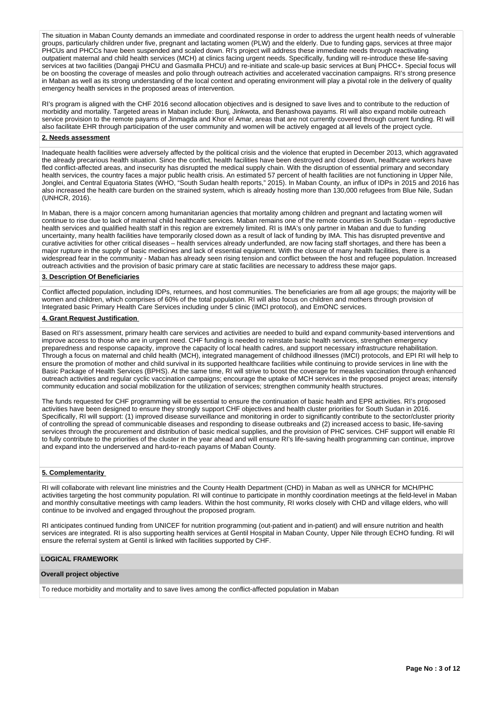The situation in Maban County demands an immediate and coordinated response in order to address the urgent health needs of vulnerable groups, particularly children under five, pregnant and lactating women (PLW) and the elderly. Due to funding gaps, services at three major PHCUs and PHCCs have been suspended and scaled down. RI's project will address these immediate needs through reactivating outpatient maternal and child health services (MCH) at clinics facing urgent needs. Specifically, funding will re-introduce these life-saving services at two facilities (Dangaji PHCU and Gasmalla PHCU) and re-initiate and scale-up basic services at Bunj PHCC+. Special focus will be on boosting the coverage of measles and polio through outreach activities and accelerated vaccination campaigns. RI's strong presence in Maban as well as its strong understanding of the local context and operating environment will play a pivotal role in the delivery of quality emergency health services in the proposed areas of intervention.

RI's program is aligned with the CHF 2016 second allocation objectives and is designed to save lives and to contribute to the reduction of morbidity and mortality. Targeted areas in Maban include: Bunj, Jinkwota, and Benashowa payams. RI will also expand mobile outreach service provision to the remote payams of Jinmagda and Khor el Amar, areas that are not currently covered through current funding. RI will also facilitate EHR through participation of the user community and women will be actively engaged at all levels of the project cycle.

# **2. Needs assessment**

Inadequate health facilities were adversely affected by the political crisis and the violence that erupted in December 2013, which aggravated the already precarious health situation. Since the conflict, health facilities have been destroyed and closed down, healthcare workers have fled conflict-affected areas, and insecurity has disrupted the medical supply chain. With the disruption of essential primary and secondary health services, the country faces a major public health crisis. An estimated 57 percent of health facilities are not functioning in Upper Nile, Jonglei, and Central Equatoria States (WHO, "South Sudan health reports," 2015). In Maban County, an influx of IDPs in 2015 and 2016 has also increased the health care burden on the strained system, which is already hosting more than 130,000 refugees from Blue Nile, Sudan (UNHCR, 2016).

In Maban, there is a major concern among humanitarian agencies that mortality among children and pregnant and lactating women will continue to rise due to lack of maternal child healthcare services. Maban remains one of the remote counties in South Sudan - reproductive health services and qualified health staff in this region are extremely limited. RI is IMA's only partner in Maban and due to funding uncertainty, many health facilities have temporarily closed down as a result of lack of funding by IMA. This has disrupted preventive and curative activities for other critical diseases – health services already underfunded, are now facing staff shortages, and there has been a major rupture in the supply of basic medicines and lack of essential equipment. With the closure of many health facilities, there is a widespread fear in the community - Maban has already seen rising tension and conflict between the host and refugee population. Increased outreach activities and the provision of basic primary care at static facilities are necessary to address these major gaps.

# **3. Description Of Beneficiaries**

Conflict affected population, including IDPs, returnees, and host communities. The beneficiaries are from all age groups; the majority will be women and children, which comprises of 60% of the total population. RI will also focus on children and mothers through provision of Integrated basic Primary Health Care Services including under 5 clinic (IMCI protocol), and EmONC services.

# **4. Grant Request Justification**

Based on RI's assessment, primary health care services and activities are needed to build and expand community-based interventions and improve access to those who are in urgent need. CHF funding is needed to reinstate basic health services, strengthen emergency preparedness and response capacity, improve the capacity of local health cadres, and support necessary infrastructure rehabilitation. Through a focus on maternal and child health (MCH), integrated management of childhood illnesses (IMCI) protocols, and EPI RI will help to ensure the promotion of mother and child survival in its supported healthcare facilities while continuing to provide services in line with the Basic Package of Health Services (BPHS). At the same time, RI will strive to boost the coverage for measles vaccination through enhanced outreach activities and regular cyclic vaccination campaigns; encourage the uptake of MCH services in the proposed project areas; intensify community education and social mobilization for the utilization of services; strengthen community health structures.

The funds requested for CHF programming will be essential to ensure the continuation of basic health and EPR activities. RI's proposed activities have been designed to ensure they strongly support CHF objectives and health cluster priorities for South Sudan in 2016. Specifically, RI will support: (1) improved disease surveillance and monitoring in order to significantly contribute to the sector/cluster priority of controlling the spread of communicable diseases and responding to disease outbreaks and (2) increased access to basic, life-saving services through the procurement and distribution of basic medical supplies, and the provision of PHC services. CHF support will enable RI to fully contribute to the priorities of the cluster in the year ahead and will ensure RI's life-saving health programming can continue, improve and expand into the underserved and hard-to-reach payams of Maban County.

# **5. Complementarity**

RI will collaborate with relevant line ministries and the County Health Department (CHD) in Maban as well as UNHCR for MCH/PHC activities targeting the host community population. RI will continue to participate in monthly coordination meetings at the field-level in Maban and monthly consultative meetings with camp leaders. Within the host community, RI works closely with CHD and village elders, who will continue to be involved and engaged throughout the proposed program.

RI anticipates continued funding from UNICEF for nutrition programming (out-patient and in-patient) and will ensure nutrition and health services are integrated. RI is also supporting health services at Gentil Hospital in Maban County, Upper Nile through ECHO funding. RI will ensure the referral system at Gentil is linked with facilities supported by CHF.

#### **LOGICAL FRAMEWORK**

#### **Overall project objective**

To reduce morbidity and mortality and to save lives among the conflict-affected population in Maban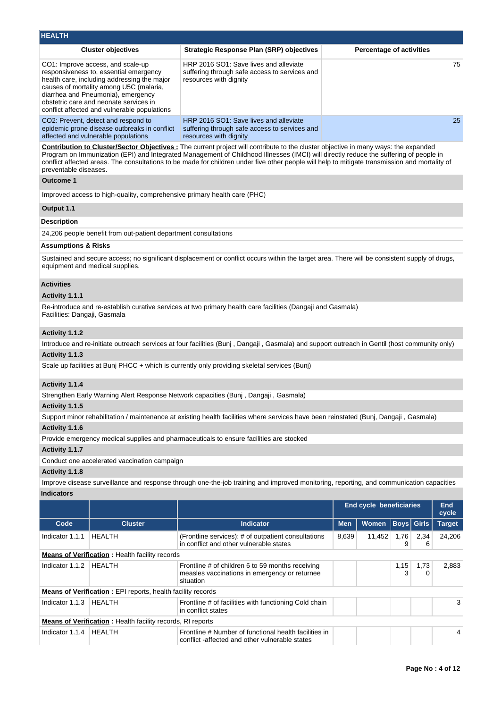| <b>HEALTH</b>                  |                                                                                                                                                                                                                                                                                                       |                                                                                                                                                                                                                                                                                                                                                                                                                                |            |                                 |                   |           |               |  |  |
|--------------------------------|-------------------------------------------------------------------------------------------------------------------------------------------------------------------------------------------------------------------------------------------------------------------------------------------------------|--------------------------------------------------------------------------------------------------------------------------------------------------------------------------------------------------------------------------------------------------------------------------------------------------------------------------------------------------------------------------------------------------------------------------------|------------|---------------------------------|-------------------|-----------|---------------|--|--|
|                                | <b>Cluster objectives</b>                                                                                                                                                                                                                                                                             | <b>Strategic Response Plan (SRP) objectives</b>                                                                                                                                                                                                                                                                                                                                                                                |            | <b>Percentage of activities</b> |                   |           |               |  |  |
|                                | CO1: Improve access, and scale-up<br>responsiveness to, essential emergency<br>health care, including addressing the major<br>causes of mortality among U5C (malaria,<br>diarrhea and Pneumonia), emergency<br>obstetric care and neonate services in<br>conflict affected and vulnerable populations | HRP 2016 SO1: Save lives and alleviate<br>suffering through safe access to services and<br>resources with dignity                                                                                                                                                                                                                                                                                                              |            |                                 |                   |           |               |  |  |
|                                | CO2: Prevent, detect and respond to<br>epidemic prone disease outbreaks in conflict<br>affected and vulnerable populations                                                                                                                                                                            | HRP 2016 SO1: Save lives and alleviate<br>suffering through safe access to services and<br>resources with dignity                                                                                                                                                                                                                                                                                                              |            |                                 |                   |           |               |  |  |
| preventable diseases.          |                                                                                                                                                                                                                                                                                                       | Contribution to Cluster/Sector Objectives : The current project will contribute to the cluster objective in many ways: the expanded<br>Program on Immunization (EPI) and Integrated Management of Childhood Illnesses (IMCI) will directly reduce the suffering of people in<br>conflict affected areas. The consultations to be made for children under five other people will help to mitigate transmission and mortality of |            |                                 |                   |           |               |  |  |
| <b>Outcome 1</b>               |                                                                                                                                                                                                                                                                                                       |                                                                                                                                                                                                                                                                                                                                                                                                                                |            |                                 |                   |           |               |  |  |
|                                | Improved access to high-quality, comprehensive primary health care (PHC)                                                                                                                                                                                                                              |                                                                                                                                                                                                                                                                                                                                                                                                                                |            |                                 |                   |           |               |  |  |
| Output 1.1                     |                                                                                                                                                                                                                                                                                                       |                                                                                                                                                                                                                                                                                                                                                                                                                                |            |                                 |                   |           |               |  |  |
| <b>Description</b>             |                                                                                                                                                                                                                                                                                                       |                                                                                                                                                                                                                                                                                                                                                                                                                                |            |                                 |                   |           |               |  |  |
|                                | 24,206 people benefit from out-patient department consultations                                                                                                                                                                                                                                       |                                                                                                                                                                                                                                                                                                                                                                                                                                |            |                                 |                   |           |               |  |  |
| <b>Assumptions &amp; Risks</b> |                                                                                                                                                                                                                                                                                                       |                                                                                                                                                                                                                                                                                                                                                                                                                                |            |                                 |                   |           |               |  |  |
|                                | equipment and medical supplies.                                                                                                                                                                                                                                                                       | Sustained and secure access; no significant displacement or conflict occurs within the target area. There will be consistent supply of drugs,                                                                                                                                                                                                                                                                                  |            |                                 |                   |           |               |  |  |
| <b>Activities</b>              |                                                                                                                                                                                                                                                                                                       |                                                                                                                                                                                                                                                                                                                                                                                                                                |            |                                 |                   |           |               |  |  |
| <b>Activity 1.1.1</b>          |                                                                                                                                                                                                                                                                                                       |                                                                                                                                                                                                                                                                                                                                                                                                                                |            |                                 |                   |           |               |  |  |
| Facilities: Dangaji, Gasmala   |                                                                                                                                                                                                                                                                                                       | Re-introduce and re-establish curative services at two primary health care facilities (Dangaji and Gasmala)                                                                                                                                                                                                                                                                                                                    |            |                                 |                   |           |               |  |  |
| Activity 1.1.2                 |                                                                                                                                                                                                                                                                                                       |                                                                                                                                                                                                                                                                                                                                                                                                                                |            |                                 |                   |           |               |  |  |
|                                |                                                                                                                                                                                                                                                                                                       | Introduce and re-initiate outreach services at four facilities (Bunj, Dangaji, Gasmala) and support outreach in Gentil (host community only)                                                                                                                                                                                                                                                                                   |            |                                 |                   |           |               |  |  |
| Activity 1.1.3                 |                                                                                                                                                                                                                                                                                                       |                                                                                                                                                                                                                                                                                                                                                                                                                                |            |                                 |                   |           |               |  |  |
|                                |                                                                                                                                                                                                                                                                                                       | Scale up facilities at Bunj PHCC + which is currently only providing skeletal services (Bunj)                                                                                                                                                                                                                                                                                                                                  |            |                                 |                   |           |               |  |  |
| Activity 1.1.4                 |                                                                                                                                                                                                                                                                                                       |                                                                                                                                                                                                                                                                                                                                                                                                                                |            |                                 |                   |           |               |  |  |
|                                |                                                                                                                                                                                                                                                                                                       | Strengthen Early Warning Alert Response Network capacities (Bunj, Dangaji, Gasmala)                                                                                                                                                                                                                                                                                                                                            |            |                                 |                   |           |               |  |  |
| Activity 1.1.5                 |                                                                                                                                                                                                                                                                                                       |                                                                                                                                                                                                                                                                                                                                                                                                                                |            |                                 |                   |           |               |  |  |
| Activity 1.1.6                 |                                                                                                                                                                                                                                                                                                       | Support minor rehabilitation / maintenance at existing health facilities where services have been reinstated (Bunj, Dangaji, Gasmala)                                                                                                                                                                                                                                                                                          |            |                                 |                   |           |               |  |  |
|                                |                                                                                                                                                                                                                                                                                                       | Provide emergency medical supplies and pharmaceuticals to ensure facilities are stocked                                                                                                                                                                                                                                                                                                                                        |            |                                 |                   |           |               |  |  |
| Activity 1.1.7                 |                                                                                                                                                                                                                                                                                                       |                                                                                                                                                                                                                                                                                                                                                                                                                                |            |                                 |                   |           |               |  |  |
|                                | Conduct one accelerated vaccination campaign                                                                                                                                                                                                                                                          |                                                                                                                                                                                                                                                                                                                                                                                                                                |            |                                 |                   |           |               |  |  |
| Activity 1.1.8                 |                                                                                                                                                                                                                                                                                                       |                                                                                                                                                                                                                                                                                                                                                                                                                                |            |                                 |                   |           |               |  |  |
|                                |                                                                                                                                                                                                                                                                                                       | Improve disease surveillance and response through one-the-job training and improved monitoring, reporting, and communication capacities                                                                                                                                                                                                                                                                                        |            |                                 |                   |           |               |  |  |
| <b>Indicators</b>              |                                                                                                                                                                                                                                                                                                       |                                                                                                                                                                                                                                                                                                                                                                                                                                |            |                                 |                   |           |               |  |  |
|                                |                                                                                                                                                                                                                                                                                                       |                                                                                                                                                                                                                                                                                                                                                                                                                                |            | <b>End cycle beneficiaries</b>  |                   |           | End<br>cycle  |  |  |
| Code                           | <b>Cluster</b>                                                                                                                                                                                                                                                                                        | <b>Indicator</b>                                                                                                                                                                                                                                                                                                                                                                                                               | <b>Men</b> | Women                           | <b>Boys</b> Girls |           | <b>Target</b> |  |  |
| Indicator 1.1.1                | HEALTH                                                                                                                                                                                                                                                                                                | (Frontline services): # of outpatient consultations<br>in conflict and other vulnerable states                                                                                                                                                                                                                                                                                                                                 | 8,639      | 11,452                          | 1,76<br>9         | 2,34<br>6 | 24,206        |  |  |
|                                | <b>Means of Verification:</b> Health facility records                                                                                                                                                                                                                                                 |                                                                                                                                                                                                                                                                                                                                                                                                                                |            |                                 |                   |           |               |  |  |
| Indicator 1.1.2                | HEALTH                                                                                                                                                                                                                                                                                                | Frontline # of children 6 to 59 months receiving<br>measles vaccinations in emergency or returnee<br>situation                                                                                                                                                                                                                                                                                                                 |            |                                 | 1,15<br>3         | 1,73<br>0 | 2,883         |  |  |
|                                | <b>Means of Verification:</b> EPI reports, health facility records                                                                                                                                                                                                                                    |                                                                                                                                                                                                                                                                                                                                                                                                                                |            |                                 |                   |           |               |  |  |
| Indicator 1.1.3                | <b>HEALTH</b>                                                                                                                                                                                                                                                                                         | Frontline # of facilities with functioning Cold chain<br>in conflict states                                                                                                                                                                                                                                                                                                                                                    |            |                                 |                   |           | 3             |  |  |
|                                | Means of Verification : Health facility records, RI reports                                                                                                                                                                                                                                           |                                                                                                                                                                                                                                                                                                                                                                                                                                |            |                                 |                   |           |               |  |  |
| Indicator 1.1.4                | <b>HEALTH</b>                                                                                                                                                                                                                                                                                         | Frontline # Number of functional health facilities in<br>conflict-affected and other vulnerable states                                                                                                                                                                                                                                                                                                                         |            |                                 |                   |           | 4             |  |  |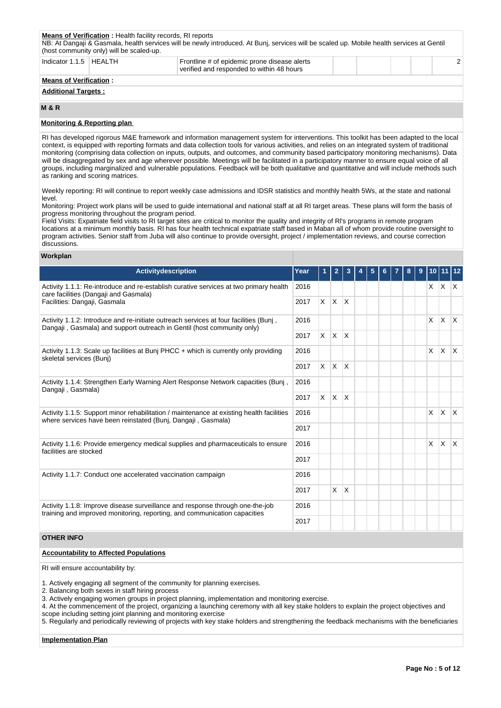|                               | <b>Means of Verification:</b> Health facility records, RI reports<br>(host community only) will be scaled-up.         | NB: At Dangaji & Gasmala, health services will be newly introduced. At Bunj, services will be scaled up. Mobile health services at Gentil |  |  |  |  |  |  |
|-------------------------------|-----------------------------------------------------------------------------------------------------------------------|-------------------------------------------------------------------------------------------------------------------------------------------|--|--|--|--|--|--|
|                               | Indicator 1.1.5   HEALTH<br>Frontline # of epidemic prone disease alerts<br>verified and responded to within 48 hours |                                                                                                                                           |  |  |  |  |  |  |
| <b>Means of Verification:</b> |                                                                                                                       |                                                                                                                                           |  |  |  |  |  |  |
| <b>Additional Targets:</b>    |                                                                                                                       |                                                                                                                                           |  |  |  |  |  |  |

# **M & R**

# **Monitoring & Reporting plan**

RI has developed rigorous M&E framework and information management system for interventions. This toolkit has been adapted to the local context, is equipped with reporting formats and data collection tools for various activities, and relies on an integrated system of traditional monitoring (comprising data collection on inputs, outputs, and outcomes, and community based participatory monitoring mechanisms). Data will be disaggregated by sex and age wherever possible. Meetings will be facilitated in a participatory manner to ensure equal voice of all groups, including marginalized and vulnerable populations. Feedback will be both qualitative and quantitative and will include methods such as ranking and scoring matrices.

Weekly reporting: RI will continue to report weekly case admissions and IDSR statistics and monthly health 5Ws, at the state and national level.

Monitoring: Project work plans will be used to guide international and national staff at all RI target areas. These plans will form the basis of progress monitoring throughout the program period.

Field Visits: Expatriate field visits to RI target sites are critical to monitor the quality and integrity of Rl's programs in remote program locations at a minimum monthly basis. RI has four health technical expatriate staff based in Maban all of whom provide routine oversight to program activities. Senior staff from Juba will also continue to provide oversight, project / implementation reviews, and course correction discussions.

# **Workplan**

| <b>Activitydescription</b>                                                                                                                                      | Year | 1        | $\overline{2}$ | 3            | 5 |  | 8 | 9 | 10 <sup>1</sup> |             |              |
|-----------------------------------------------------------------------------------------------------------------------------------------------------------------|------|----------|----------------|--------------|---|--|---|---|-----------------|-------------|--------------|
| Activity 1.1.1: Re-introduce and re-establish curative services at two primary health<br>care facilities (Dangaji and Gasmala)                                  | 2016 |          |                |              |   |  |   |   |                 | $X$ $X$ $X$ |              |
| Facilities: Dangaji, Gasmala                                                                                                                                    | 2017 |          | $X$ $X$ $X$    |              |   |  |   |   |                 |             |              |
| Activity 1.1.2: Introduce and re-initiate outreach services at four facilities (Bunj,<br>Dangaji, Gasmala) and support outreach in Gentil (host community only) | 2016 |          |                |              |   |  |   |   | X               | ΙX.         | $\mathsf{X}$ |
|                                                                                                                                                                 |      | $\times$ | $\mathsf{X}$   | $\mathsf{X}$ |   |  |   |   |                 |             |              |
| Activity 1.1.3: Scale up facilities at Bunj PHCC + which is currently only providing<br>skeletal services (Bunj)                                                |      |          |                |              |   |  |   |   | X.              | X.          | $\mathsf{X}$ |
|                                                                                                                                                                 | 2017 |          | $X$ $X$        | $\mathsf{X}$ |   |  |   |   |                 |             |              |
| Activity 1.1.4: Strengthen Early Warning Alert Response Network capacities (Bunj,                                                                               | 2016 |          |                |              |   |  |   |   |                 |             |              |
| Dangaji, Gasmala)                                                                                                                                               | 2017 | $\times$ | $\mathsf{X}$   | ΙX.          |   |  |   |   |                 |             |              |
| Activity 1.1.5: Support minor rehabilitation / maintenance at existing health facilities<br>where services have been reinstated (Bunj, Dangaji, Gasmala)        | 2016 |          |                |              |   |  |   |   | X               | ΙX.         | $\mathsf{X}$ |
|                                                                                                                                                                 | 2017 |          |                |              |   |  |   |   |                 |             |              |
| Activity 1.1.6: Provide emergency medical supplies and pharmaceuticals to ensure<br>facilities are stocked                                                      | 2016 |          |                |              |   |  |   |   | X.              | X.          | $\mathsf{X}$ |
|                                                                                                                                                                 | 2017 |          |                |              |   |  |   |   |                 |             |              |
| Activity 1.1.7: Conduct one accelerated vaccination campaign                                                                                                    | 2016 |          |                |              |   |  |   |   |                 |             |              |
|                                                                                                                                                                 |      |          | $\times$       | ΙX.          |   |  |   |   |                 |             |              |
| Activity 1.1.8: Improve disease surveillance and response through one-the-job<br>training and improved monitoring, reporting, and communication capacities      | 2016 |          |                |              |   |  |   |   |                 |             |              |
|                                                                                                                                                                 | 2017 |          |                |              |   |  |   |   |                 |             |              |

# **OTHER INFO**

## **Accountability to Affected Populations**

RI will ensure accountability by:

1. Actively engaging all segment of the community for planning exercises.

2. Balancing both sexes in staff hiring process

3. Actively engaging women groups in project planning, implementation and monitoring exercise.

4. At the commencement of the project, organizing a launching ceremony with all key stake holders to explain the project objectives and scope including setting joint planning and monitoring exercise

5. Regularly and periodically reviewing of projects with key stake holders and strengthening the feedback mechanisms with the beneficiaries

#### **Implementation Plan**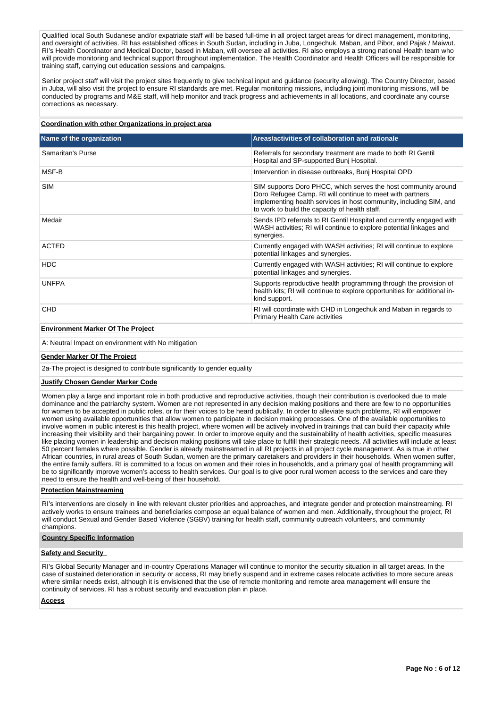Qualified local South Sudanese and/or expatriate staff will be based full-time in all project target areas for direct management, monitoring, and oversight of activities. RI has established offices in South Sudan, including in Juba, Longechuk, Maban, and Pibor, and Pajak / Maiwut. RI's Health Coordinator and Medical Doctor, based in Maban, will oversee all activities. RI also employs a strong national Health team who will provide monitoring and technical support throughout implementation. The Health Coordinator and Health Officers will be responsible for training staff, carrying out education sessions and campaigns.

Senior project staff will visit the project sites frequently to give technical input and guidance (security allowing). The Country Director, based in Juba, will also visit the project to ensure RI standards are met. Regular monitoring missions, including joint monitoring missions, will be conducted by programs and M&E staff, will help monitor and track progress and achievements in all locations, and coordinate any course corrections as necessary.

# **Coordination with other Organizations in project area**

| Name of the organization | Areas/activities of collaboration and rationale                                                                                                                                                                                                     |
|--------------------------|-----------------------------------------------------------------------------------------------------------------------------------------------------------------------------------------------------------------------------------------------------|
| Samaritan's Purse        | Referrals for secondary treatment are made to both RI Gentil<br>Hospital and SP-supported Bunj Hospital.                                                                                                                                            |
| MSF-B                    | Intervention in disease outbreaks, Bunj Hospital OPD                                                                                                                                                                                                |
| <b>SIM</b>               | SIM supports Doro PHCC, which serves the host community around<br>Doro Refugee Camp. RI will continue to meet with partners<br>implementing health services in host community, including SIM, and<br>to work to build the capacity of health staff. |
| Medair                   | Sends IPD referrals to RI Gentil Hospital and currently engaged with<br>WASH activities; RI will continue to explore potential linkages and<br>synergies.                                                                                           |
| <b>ACTED</b>             | Currently engaged with WASH activities; RI will continue to explore<br>potential linkages and synergies.                                                                                                                                            |
| <b>HDC</b>               | Currently engaged with WASH activities; RI will continue to explore<br>potential linkages and synergies.                                                                                                                                            |
| <b>UNFPA</b>             | Supports reproductive health programming through the provision of<br>health kits; RI will continue to explore opportunities for additional in-<br>kind support.                                                                                     |
| <b>CHD</b>               | RI will coordinate with CHD in Longechuk and Maban in regards to<br><b>Primary Health Care activities</b>                                                                                                                                           |

# **Environment Marker Of The Project**

A: Neutral Impact on environment with No mitigation

## **Gender Marker Of The Project**

2a-The project is designed to contribute significantly to gender equality

#### **Justify Chosen Gender Marker Code**

Women play a large and important role in both productive and reproductive activities, though their contribution is overlooked due to male dominance and the patriarchy system. Women are not represented in any decision making positions and there are few to no opportunities for women to be accepted in public roles, or for their voices to be heard publically. In order to alleviate such problems, RI will empower women using available opportunities that allow women to participate in decision making processes. One of the available opportunities to involve women in public interest is this health project, where women will be actively involved in trainings that can build their capacity while increasing their visibility and their bargaining power. In order to improve equity and the sustainability of health activities, specific measures like placing women in leadership and decision making positions will take place to fulfill their strategic needs. All activities will include at least 50 percent females where possible. Gender is already mainstreamed in all RI projects in all project cycle management. As is true in other African countries, in rural areas of South Sudan, women are the primary caretakers and providers in their households. When women suffer, the entire family suffers. RI is committed to a focus on women and their roles in households, and a primary goal of health programming will be to significantly improve women's access to health services. Our goal is to give poor rural women access to the services and care they need to ensure the health and well-being of their household.

# **Protection Mainstreaming**

RI's interventions are closely in line with relevant cluster priorities and approaches, and integrate gender and protection mainstreaming. RI actively works to ensure trainees and beneficiaries compose an equal balance of women and men. Additionally, throughout the project, RI will conduct Sexual and Gender Based Violence (SGBV) training for health staff, community outreach volunteers, and community champions.

# **Country Specific Information**

## **Safety and Security**

RI's Global Security Manager and in-country Operations Manager will continue to monitor the security situation in all target areas. In the case of sustained deterioration in security or access, RI may briefly suspend and in extreme cases relocate activities to more secure areas where similar needs exist, although it is envisioned that the use of remote monitoring and remote area management will ensure the continuity of services. RI has a robust security and evacuation plan in place.

# **Access**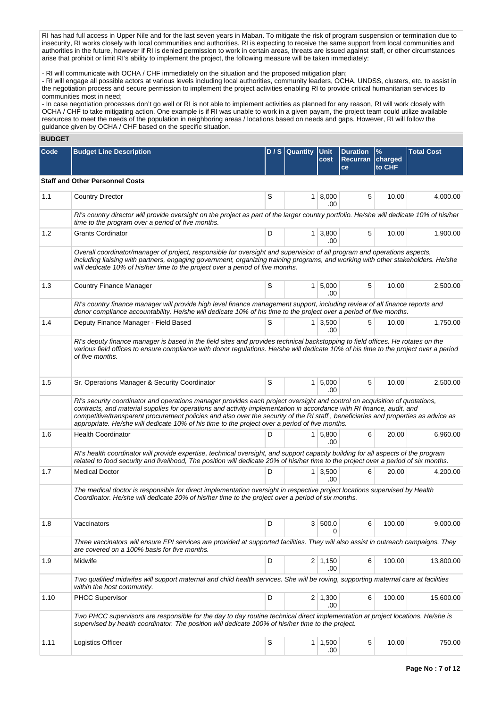RI has had full access in Upper Nile and for the last seven years in Maban. To mitigate the risk of program suspension or termination due to insecurity, RI works closely with local communities and authorities. RI is expecting to receive the same support from local communities and authorities in the future, however if RI is denied permission to work in certain areas, threats are issued against staff, or other circumstances arise that prohibit or limit RI's ability to implement the project, the following measure will be taken immediately:

- RI will communicate with OCHA / CHF immediately on the situation and the proposed mitigation plan;

- RI will engage all possible actors at various levels including local authorities, community leaders, OCHA, UNDSS, clusters, etc. to assist in the negotiation process and secure permission to implement the project activities enabling RI to provide critical humanitarian services to communities most in need;

- In case negotiation processes don't go well or RI is not able to implement activities as planned for any reason, RI will work closely with OCHA / CHF to take mitigating action. One example is if RI was unable to work in a given payam, the project team could utilize available resources to meet the needs of the population in neighboring areas / locations based on needs and gaps. However, RI will follow the guidance given by OCHA / CHF based on the specific situation.

# **BUDGET**

| Code | <b>Budget Line Description</b>                                                                                                                                                                                                                                                                                                                                                                                                                                                              |   | $D / S$ Quantity | <b>Unit</b><br>cost   | <b>Duration</b><br><b>Recurran</b><br>ce | %<br>charged<br>to CHF | <b>Total Cost</b> |
|------|---------------------------------------------------------------------------------------------------------------------------------------------------------------------------------------------------------------------------------------------------------------------------------------------------------------------------------------------------------------------------------------------------------------------------------------------------------------------------------------------|---|------------------|-----------------------|------------------------------------------|------------------------|-------------------|
|      | <b>Staff and Other Personnel Costs</b>                                                                                                                                                                                                                                                                                                                                                                                                                                                      |   |                  |                       |                                          |                        |                   |
| 1.1  | <b>Country Director</b>                                                                                                                                                                                                                                                                                                                                                                                                                                                                     | S |                  | 1   8,000<br>.00      | 5                                        | 10.00                  | 4,000.00          |
|      | RI's country director will provide oversight on the project as part of the larger country portfolio. He/she will dedicate 10% of his/her<br>time to the program over a period of five months.                                                                                                                                                                                                                                                                                               |   |                  |                       |                                          |                        |                   |
| 1.2  | <b>Grants Cordinator</b>                                                                                                                                                                                                                                                                                                                                                                                                                                                                    | D |                  | $1 \mid 3,800$<br>.00 | 5                                        | 10.00                  | 1,900.00          |
|      | Overall coordinator/manager of project, responsible for oversight and supervision of all program and operations aspects,<br>including liaising with partners, engaging government, organizing training programs, and working with other stakeholders. He/she<br>will dedicate 10% of his/her time to the project over a period of five months.                                                                                                                                              |   |                  |                       |                                          |                        |                   |
| 1.3  | <b>Country Finance Manager</b>                                                                                                                                                                                                                                                                                                                                                                                                                                                              | S |                  | $1 \, 5,000$<br>.00   | 5                                        | 10.00                  | 2,500.00          |
|      | RI's country finance manager will provide high level finance management support, including review of all finance reports and<br>donor compliance accountability. He/she will dedicate 10% of his time to the project over a period of five months.                                                                                                                                                                                                                                          |   |                  |                       |                                          |                        |                   |
| 1.4  | Deputy Finance Manager - Field Based                                                                                                                                                                                                                                                                                                                                                                                                                                                        | S |                  | $1 \mid 3,500$<br>.00 | 5                                        | 10.00                  | 1,750.00          |
|      | RI's deputy finance manager is based in the field sites and provides technical backstopping to field offices. He rotates on the<br>various field offices to ensure compliance with donor regulations. He/she will dedicate 10% of his time to the project over a period<br>of five months.                                                                                                                                                                                                  |   |                  |                       |                                          |                        |                   |
| 1.5  | Sr. Operations Manager & Security Coordinator                                                                                                                                                                                                                                                                                                                                                                                                                                               | S |                  | $1 \mid 5,000$<br>.00 | 5                                        | 10.00                  | 2,500.00          |
|      | RI's security coordinator and operations manager provides each project oversight and control on acquisition of quotations,<br>contracts, and material supplies for operations and activity implementation in accordance with RI finance, audit, and<br>competitive/transparent procurement policies and also over the security of the RI staff, beneficiaries and properties as advice as<br>appropriate. He/she will dedicate 10% of his time to the project over a period of five months. |   |                  |                       |                                          |                        |                   |
| 1.6  | <b>Health Coordinator</b>                                                                                                                                                                                                                                                                                                                                                                                                                                                                   | D |                  | 1 5,800<br>.00        | 6                                        | 20.00                  | 6,960.00          |
|      | RI's health coordinator will provide expertise, technical oversight, and support capacity building for all aspects of the program<br>related to food security and livelihood, The position will dedicate 20% of his/her time to the project over a period of six months.                                                                                                                                                                                                                    |   |                  |                       |                                          |                        |                   |
| 1.7  | <b>Medical Doctor</b>                                                                                                                                                                                                                                                                                                                                                                                                                                                                       | D | 1 <sup>1</sup>   | 3,500<br>.00          | 6                                        | 20.00                  | 4,200.00          |
|      | The medical doctor is responsible for direct implementation oversight in respective project locations supervised by Health<br>Coordinator. He/she will dedicate 20% of his/her time to the project over a period of six months.                                                                                                                                                                                                                                                             |   |                  |                       |                                          |                        |                   |
| 1.8  | Vaccinators                                                                                                                                                                                                                                                                                                                                                                                                                                                                                 | D |                  | 3   500.0<br>0        | 6                                        | 100.00                 | 9,000.00          |
|      | Three vaccinators will ensure EPI services are provided at supported facilities. They will also assist in outreach campaigns. They<br>are covered on a 100% basis for five months.                                                                                                                                                                                                                                                                                                          |   |                  |                       |                                          |                        |                   |
| 1.9  | Midwife                                                                                                                                                                                                                                                                                                                                                                                                                                                                                     | D |                  | $2 \mid 1,150$<br>.00 | 6                                        | 100.00                 | 13,800.00         |
|      | Two qualified midwifes will support maternal and child health services. She will be roving, supporting maternal care at facilities<br>within the host community.                                                                                                                                                                                                                                                                                                                            |   |                  |                       |                                          |                        |                   |
| 1.10 | <b>PHCC Supervisor</b>                                                                                                                                                                                                                                                                                                                                                                                                                                                                      | D |                  | $2 \mid 1,300$<br>.00 | 6                                        | 100.00                 | 15,600.00         |
|      | Two PHCC supervisors are responsible for the day to day routine technical direct implementation at project locations. He/she is<br>supervised by health coordinator. The position will dedicate 100% of his/her time to the project.                                                                                                                                                                                                                                                        |   |                  |                       |                                          |                        |                   |
| 1.11 | Logistics Officer                                                                                                                                                                                                                                                                                                                                                                                                                                                                           | S |                  | 1 1,500<br>.00        | 5                                        | 10.00                  | 750.00            |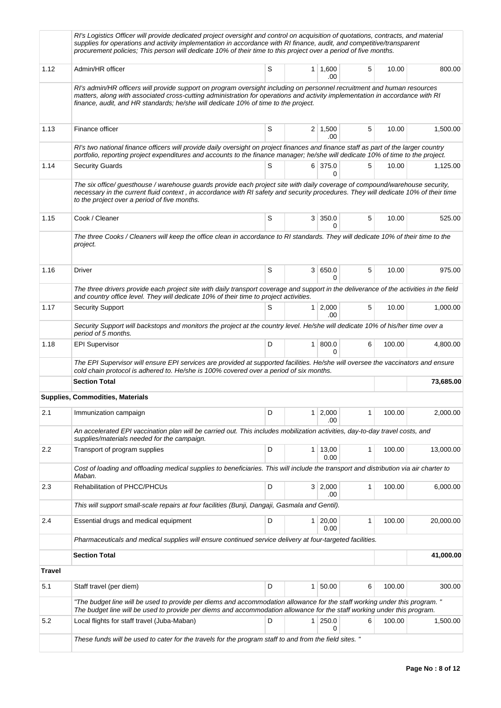|        | RI's Logistics Officer will provide dedicated project oversight and control on acquisition of quotations, contracts, and material<br>supplies for operations and activity implementation in accordance with RI finance, audit, and competitive/transparent<br>procurement policies; This person will dedicate 10% of their time to this project over a period of five months. |   |                |                        |   |        |           |
|--------|-------------------------------------------------------------------------------------------------------------------------------------------------------------------------------------------------------------------------------------------------------------------------------------------------------------------------------------------------------------------------------|---|----------------|------------------------|---|--------|-----------|
| 1.12   | Admin/HR officer                                                                                                                                                                                                                                                                                                                                                              | S |                | $1 \mid 1,600$<br>.00  | 5 | 10.00  | 800.00    |
|        | RI's admin/HR officers will provide support on program oversight including on personnel recruitment and human resources<br>matters, along with associated cross-cutting administration for operations and activity implementation in accordance with RI<br>finance, audit, and HR standards; he/she will dedicate 10% of time to the project.                                 |   |                |                        |   |        |           |
| 1.13   | Finance officer                                                                                                                                                                                                                                                                                                                                                               | S |                | $2 \mid 1,500$<br>.00  | 5 | 10.00  | 1,500.00  |
|        | RI's two national finance officers will provide daily oversight on project finances and finance staff as part of the larger country<br>portfolio, reporting project expenditures and accounts to the finance manager; he/she will dedicate 10% of time to the project.                                                                                                        |   |                |                        |   |        |           |
| 1.14   | <b>Security Guards</b>                                                                                                                                                                                                                                                                                                                                                        | S |                | 6 375.0<br>0           | 5 | 10.00  | 1,125.00  |
|        | The six office/ guesthouse / warehouse guards provide each project site with daily coverage of compound/warehouse security,<br>necessary in the current fluid context, in accordance with RI safety and security procedures. They will dedicate 10% of their time<br>to the project over a period of five months.                                                             |   |                |                        |   |        |           |
| 1.15   | Cook / Cleaner                                                                                                                                                                                                                                                                                                                                                                | S |                | 3 350.0<br>0           | 5 | 10.00  | 525.00    |
|        | The three Cooks / Cleaners will keep the office clean in accordance to RI standards. They will dedicate 10% of their time to the<br>project.                                                                                                                                                                                                                                  |   |                |                        |   |        |           |
| 1.16   | Driver                                                                                                                                                                                                                                                                                                                                                                        | S |                | 3   650.0<br>0         | 5 | 10.00  | 975.00    |
|        | The three drivers provide each project site with daily transport coverage and support in the deliverance of the activities in the field<br>and country office level. They will dedicate 10% of their time to project activities.                                                                                                                                              |   |                |                        |   |        |           |
| 1.17   | <b>Security Support</b>                                                                                                                                                                                                                                                                                                                                                       | S |                | $1 \mid 2,000$<br>.00  | 5 | 10.00  | 1,000.00  |
|        | Security Support will backstops and monitors the project at the country level. He/she will dedicate 10% of his/her time over a<br>period of 5 months.                                                                                                                                                                                                                         |   |                |                        |   |        |           |
| 1.18   | <b>EPI Supervisor</b>                                                                                                                                                                                                                                                                                                                                                         | D |                | 1   800.0<br>0         | 6 | 100.00 | 4,800.00  |
|        | The EPI Supervisor will ensure EPI services are provided at supported facilities. He/she will oversee the vaccinators and ensure<br>cold chain protocol is adhered to. He/she is 100% covered over a period of six months.                                                                                                                                                    |   |                |                        |   |        |           |
|        | <b>Section Total</b>                                                                                                                                                                                                                                                                                                                                                          |   |                |                        |   |        | 73,685.00 |
|        | <b>Supplies, Commodities, Materials</b>                                                                                                                                                                                                                                                                                                                                       |   |                |                        |   |        |           |
| 2.1    | Immunization campaign                                                                                                                                                                                                                                                                                                                                                         | D |                | $1 \mid 2,000$<br>.00  | 1 | 100.00 | 2,000.00  |
|        | An accelerated EPI vaccination plan will be carried out. This includes mobilization activities, day-to-day travel costs, and<br>supplies/materials needed for the campaign.                                                                                                                                                                                                   |   |                |                        |   |        |           |
| 2.2    | Transport of program supplies                                                                                                                                                                                                                                                                                                                                                 | D |                | $1 \mid 13,00$<br>0.00 | 1 | 100.00 | 13,000.00 |
|        | Cost of loading and offloading medical supplies to beneficiaries. This will include the transport and distribution via air charter to<br>Maban.                                                                                                                                                                                                                               |   |                |                        |   |        |           |
| 2.3    | Rehabilitation of PHCC/PHCUs                                                                                                                                                                                                                                                                                                                                                  | D |                | 3 2,000<br>.00         | 1 | 100.00 | 6,000.00  |
|        | This will support small-scale repairs at four facilities (Bunji, Dangaji, Gasmala and Gentil).                                                                                                                                                                                                                                                                                |   |                |                        |   |        |           |
| 2.4    | Essential drugs and medical equipment                                                                                                                                                                                                                                                                                                                                         | D |                | $1 \ 20,00$<br>0.00    | 1 | 100.00 | 20,000.00 |
|        | Pharmaceuticals and medical supplies will ensure continued service delivery at four-targeted facilities.                                                                                                                                                                                                                                                                      |   |                |                        |   |        |           |
|        | <b>Section Total</b>                                                                                                                                                                                                                                                                                                                                                          |   |                |                        |   |        | 41,000.00 |
| Travel |                                                                                                                                                                                                                                                                                                                                                                               |   |                |                        |   |        |           |
| 5.1    | Staff travel (per diem)                                                                                                                                                                                                                                                                                                                                                       | D | 1 <sup>1</sup> | 50.00                  | 6 | 100.00 | 300.00    |
|        | "The budget line will be used to provide per diems and accommodation allowance for the staff working under this program."<br>The budget line will be used to provide per diems and accommodation allowance for the staff working under this program.                                                                                                                          |   |                |                        |   |        |           |
| 5.2    | Local flights for staff travel (Juba-Maban)                                                                                                                                                                                                                                                                                                                                   | D |                | 1 250.0<br>0           | 6 | 100.00 | 1,500.00  |
|        | These funds will be used to cater for the travels for the program staff to and from the field sites. "                                                                                                                                                                                                                                                                        |   |                |                        |   |        |           |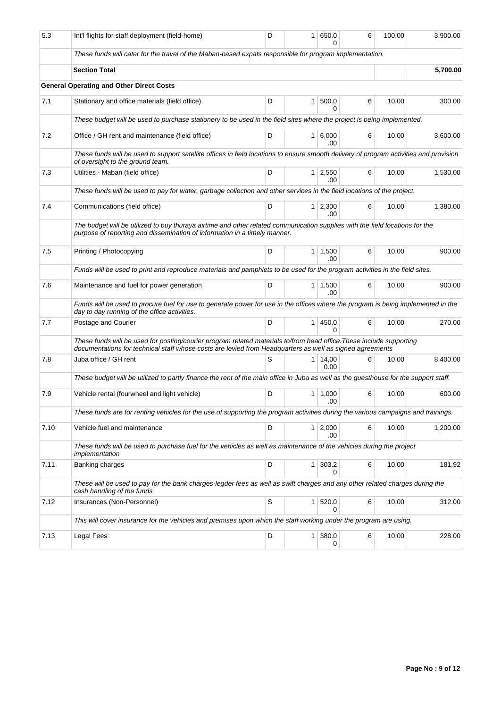| 5.3  | Int'l flights for staff deployment (field-home)                                                                                                                                                                                  | D | 1              | 650.0<br>ი            | 6 | 100.00 | 3,900.00 |
|------|----------------------------------------------------------------------------------------------------------------------------------------------------------------------------------------------------------------------------------|---|----------------|-----------------------|---|--------|----------|
|      | These funds will cater for the travel of the Maban-based expats responsible for program implementation.                                                                                                                          |   |                |                       |   |        |          |
|      | <b>Section Total</b>                                                                                                                                                                                                             |   |                |                       |   |        | 5,700.00 |
|      | <b>General Operating and Other Direct Costs</b>                                                                                                                                                                                  |   |                |                       |   |        |          |
| 7.1  | Stationary and office materials (field office)                                                                                                                                                                                   | D | $\mathbf{1}$   | 500.0<br>0            | 6 | 10.00  | 300.00   |
|      | These budget will be used to purchase stationery to be used in the field sites where the project is being implemented.                                                                                                           |   |                |                       |   |        |          |
| 7.2  | Office / GH rent and maintenance (field office)                                                                                                                                                                                  | D | $\mathbf{1}$   | 6,000<br>.00          | 6 | 10.00  | 3.600.00 |
|      | These funds will be used to support satellite offices in field locations to ensure smooth delivery of program activities and provision<br>of oversight to the ground team.                                                       |   |                |                       |   |        |          |
| 7.3  | Utilities - Maban (field office)                                                                                                                                                                                                 | D | 1 <sup>1</sup> | 2,550<br>.00          | 6 | 10.00  | 1,530.00 |
|      | These funds will be used to pay for water, garbage collection and other services in the field locations of the project.                                                                                                          |   |                |                       |   |        |          |
| 7.4  | Communications (field office)                                                                                                                                                                                                    | D |                | $1 \mid 2,300$<br>.00 | 6 | 10.00  | 1,380.00 |
|      | The budget will be utilized to buy thuraya airtime and other related communication supplies with the field locations for the<br>purpose of reporting and dissemination of information in a timely manner.                        |   |                |                       |   |        |          |
| 7.5  | Printing / Photocopying                                                                                                                                                                                                          | D | 1              | 1,500<br>.00          | 6 | 10.00  | 900.00   |
|      | Funds will be used to print and reproduce materials and pamphlets to be used for the program activities in the field sites.                                                                                                      |   |                |                       |   |        |          |
| 7.6  | Maintenance and fuel for power generation                                                                                                                                                                                        | D | 1 <sup>1</sup> | 1,500<br>.00          | 6 | 10.00  | 900.00   |
|      | Funds will be used to procure fuel for use to generate power for use in the offices where the program is being implemented in the<br>day to day running of the office activities.                                                |   |                |                       |   |        |          |
| 7.7  | Postage and Courier                                                                                                                                                                                                              | D | 1              | 450.0<br>$\Omega$     | 6 | 10.00  | 270.00   |
|      | These funds will be used for posting/courier program related materials to/from head office. These include supporting<br>documentations for technical staff whose costs are levied from Headquarters as well as signed agreements |   |                |                       |   |        |          |
| 7.8  | Juba office / GH rent                                                                                                                                                                                                            | S | 1              | 14,00<br>0.00         | 6 | 10.00  | 8,400.00 |
|      | These budget will be utilized to partly finance the rent of the main office in Juba as well as the guesthouse for the support staff.                                                                                             |   |                |                       |   |        |          |
| 7.9  | Vehicle rental (fourwheel and light vehicle)                                                                                                                                                                                     | D | 1 <sup>1</sup> | 1,000<br>.00          | 6 | 10.00  | 600.00   |
|      | These funds are for renting vehicles for the use of supporting the program activities during the various campaigns and trainings.                                                                                                |   |                |                       |   |        |          |
| 7.10 | Vehicle fuel and maintenance                                                                                                                                                                                                     | D | 1 <sup>1</sup> | 2,000<br>.00          | 6 | 10.00  | 1,200.00 |
|      | These funds will be used to purchase fuel for the vehicles as well as maintenance of the vehicles during the project<br>implementation                                                                                           |   |                |                       |   |        |          |
| 7.11 | Banking charges                                                                                                                                                                                                                  | D | $\mathbf{1}$   | 303.2<br>0            | 6 | 10.00  | 181.92   |
|      | These will be used to pay for the bank charges-legder fees as well as swift charges and any other related charges during the<br>cash handling of the funds                                                                       |   |                |                       |   |        |          |
| 7.12 | Insurances (Non-Personnel)                                                                                                                                                                                                       | S | 1 <sup>1</sup> | 520.0<br>0            | 6 | 10.00  | 312.00   |
|      | This will cover insurance for the vehicles and premises upon which the staff working under the program are using.                                                                                                                |   |                |                       |   |        |          |
| 7.13 | <b>Legal Fees</b>                                                                                                                                                                                                                | D | 1              | 380.0<br>0            | 6 | 10.00  | 228.00   |